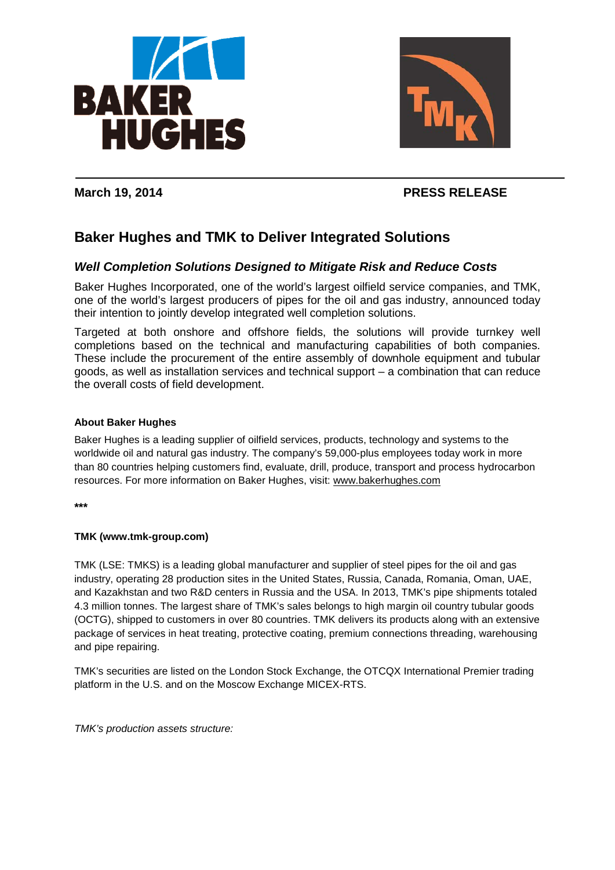



## **March 19, 2014 PRESS RELEASE**

# **Baker Hughes and TMK to Deliver Integrated Solutions**

## *Well Completion Solutions Designed to Mitigate Risk and Reduce Costs*

Baker Hughes Incorporated, one of the world's largest oilfield service companies, and TMK, one of the world's largest producers of pipes for the oil and gas industry, announced today their intention to jointly develop integrated well completion solutions.

Targeted at both onshore and offshore fields, the solutions will provide turnkey well completions based on the technical and manufacturing capabilities of both companies. These include the procurement of the entire assembly of downhole equipment and tubular goods, as well as installation services and technical support – a combination that can reduce the overall costs of field development.

#### **About Baker Hughes**

Baker Hughes is a leading supplier of oilfield services, products, technology and systems to the worldwide oil and natural gas industry. The company's 59,000-plus employees today work in more than 80 countries helping customers find, evaluate, drill, produce, transport and process hydrocarbon resources. For more information on Baker Hughes, visit: [www.bakerhughes.com](http://www.bakerhughes.com/)

**\*\*\***

#### **TMK (www.tmk-group.com)**

TMK (LSE: TMKS) is a leading global manufacturer and supplier of steel pipes for the oil and gas industry, operating 28 production sites in the United States, Russia, Canada, Romania, Oman, UAE, and Kazakhstan and two R&D centers in Russia and the USA. In 2013, TMK's pipe shipments totaled 4.3 million tonnes. The largest share of TMK's sales belongs to high margin oil country tubular goods (OCTG), shipped to customers in over 80 countries. TMK delivers its products along with an extensive package of services in heat treating, protective coating, premium connections threading, warehousing and pipe repairing.

TMK's securities are listed on the London Stock Exchange, the OTCQX International Premier trading platform in the U.S. and on the Moscow Exchange MICEX-RTS.

*TMK's production assets structure:*